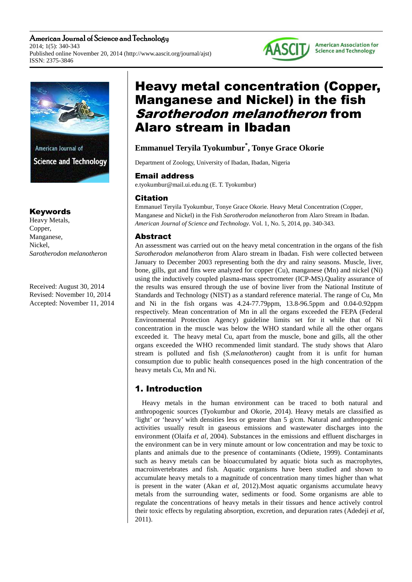American Journal of Science and Technology 2014; 1(5): 340-343 Published online November 20, 2014 (http://www.aascit.org/journal/ajst) ISSN: 2375-3846



# Keywords

Heavy Metals, Copper, Manganese, Nickel, *Sarotherodon melanotheron* 

Received: August 30, 2014 Revised: November 10, 2014 Accepted: November 11, 2014

# Heavy metal concentration (Copper, Manganese and Nickel) in the fish Sarotherodon melanotheron from Alaro stream in Ibadan

**AASCIT** 

**American Association for Science and Technology** 

# **Emmanuel Teryila Tyokumbur\* , Tonye Grace Okorie**

Department of Zoology, University of Ibadan, Ibadan, Nigeria

### Email address

e.tyokumbur@mail.ui.edu.ng (E. T. Tyokumbur)

# Citation

Emmanuel Teryila Tyokumbur, Tonye Grace Okorie. Heavy Metal Concentration (Copper, Manganese and Nickel) in the Fish *Sarotherodon melanotheron* from Alaro Stream in Ibadan. *American Journal of Science and Technology.* Vol. 1, No. 5, 2014, pp. 340-343.

# Abstract

An assessment was carried out on the heavy metal concentration in the organs of the fish *Sarotherodon melanotheron* from Alaro stream in Ibadan. Fish were collected between January to December 2003 representing both the dry and rainy seasons. Muscle, liver, bone, gills, gut and fins were analyzed for copper (Cu), manganese (Mn) and nickel (Ni) using the inductively coupled plasma-mass spectrometer (ICP-MS).Quality assurance of the results was ensured through the use of bovine liver from the National Institute of Standards and Technology (NIST) as a standard reference material. The range of Cu, Mn and Ni in the fish organs was 4.24-77.79ppm, 13.8-96.5ppm and 0.04-0.92ppm respectively. Mean concentration of Mn in all the organs exceeded the FEPA (Federal Environmental Protection Agency) guideline limits set for it while that of Ni concentration in the muscle was below the WHO standard while all the other organs exceeded it. The heavy metal Cu, apart from the muscle, bone and gills, all the other organs exceeded the WHO recommended limit standard. The study shows that Alaro stream is polluted and fish (*S.melanotheron*) caught from it is unfit for human consumption due to public health consequences posed in the high concentration of the heavy metals Cu, Mn and Ni.

# 1. Introduction

Heavy metals in the human environment can be traced to both natural and anthropogenic sources (Tyokumbur and Okorie, 2014). Heavy metals are classified as 'light' or 'heavy' with densities less or greater than 5 g/cm. Natural and anthropogenic activities usually result in gaseous emissions and wastewater discharges into the environment (Olaifa *et al*, 2004). Substances in the emissions and effluent discharges in the environment can be in very minute amount or low concentration and may be toxic to plants and animals due to the presence of contaminants (Odiete, 1999). Contaminants such as heavy metals can be bioaccumulated by aquatic biota such as macrophytes, macroinvertebrates and fish. Aquatic organisms have been studied and shown to accumulate heavy metals to a magnitude of concentration many times higher than what is present in the water (Akan *et al*, 2012).Most aquatic organisms accumulate heavy metals from the surrounding water, sediments or food. Some organisms are able to regulate the concentrations of heavy metals in their tissues and hence actively control their toxic effects by regulating absorption, excretion, and depuration rates (Adedeji *et al*, 2011).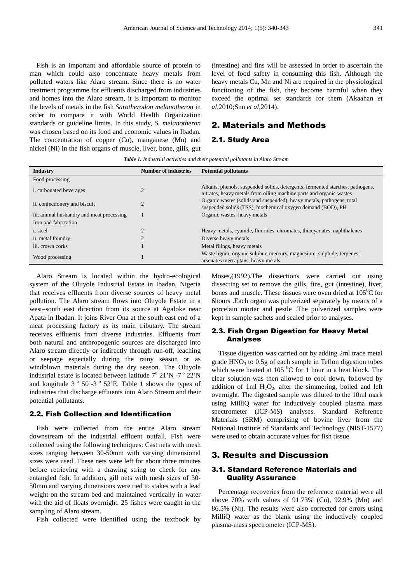Fish is an important and affordable source of protein to man which could also concentrate heavy metals from polluted waters like Alaro stream. Since there is no water treatment programme for effluents discharged from industries and homes into the Alaro stream, it is important to monitor the levels of metals in the fish *Sarotherodon melanotheron* in order to compare it with World Health Organization standards or guideline limits. In this study, *S. melanotheron*  was chosen based on its food and economic values in Ibadan. The concentration of copper (Cu), manganese (Mn) and nickel (Ni) in the fish organs of muscle, liver, bone, gills, gut

(intestine) and fins will be assessed in order to ascertain the level of food safety in consuming this fish. Although the heavy metals Cu, Mn and Ni are required in the physiological functioning of the fish, they become harmful when they exceed the optimal set standards for them (Akaahan *et al*,2010;Sun *et al*,2014).

### 2. Materials and Methods

#### 2.1. Study Area

*Table 1. Industrial activities and their potential pollutants in Alaro Stream* 

| <b>Industry</b>                           | <b>Number of industries</b> | <b>Potential pollutants</b>                                                                                                                           |
|-------------------------------------------|-----------------------------|-------------------------------------------------------------------------------------------------------------------------------------------------------|
| Food processing                           |                             |                                                                                                                                                       |
| <i>i.</i> carbonated beverages            |                             | Alkalis, phenols, suspended solids, detergents, fermented starches, pathogens,<br>nitrates, heavy metals from oiling machine parts and organic wastes |
| ii. confectionery and biscuit             |                             | Organic wastes (solids and suspended), heavy metals, pathogens, total<br>suspended solids (TSS), biochemical oxygen demand (BOD), PH                  |
| iii. animal husbandry and meat processing |                             | Organic wastes, heavy metals                                                                                                                          |
| Iron and fabrication                      |                             |                                                                                                                                                       |
| <i>i</i> . steel                          |                             | Heavy metals, cyanide, fluorides, chromates, thiocyanates, naphthalenes                                                                               |
| ii. metal foundry                         |                             | Diverse heavy metals                                                                                                                                  |
| iii. crown corks                          |                             | Metal filings, heavy metals                                                                                                                           |
| Wood processing                           |                             | Waste lignin, organic sulphur, mercury, magnesium, sulphide, terpenes,<br>arsenates mercaptans, heavy metals                                          |

Alaro Stream is located within the hydro-ecological system of the Oluyole Industrial Estate in Ibadan, Nigeria that receives effluents from diverse sources of heavy metal pollution. The Alaro stream flows into Oluyole Estate in a west–south east direction from its source at Agaloke near Apata in Ibadan. It joins River Ona at the south east end of a meat processing factory as its main tributary. The stream receives effluents from diverse industries. Effluents from both natural and anthropogenic sources are discharged into Alaro stream directly or indirectly through run-off, leaching or seepage especially during the rainy season or as windblown materials during the dry season. The Oluyole industrial estate is located between latitude  $7^{\circ}$  21'N -7 $^{\circ}$  22'N and longitude  $3^\circ$  50'-3 $^\circ$  52'E. Table 1 shows the types of industries that discharge effluents into Alaro Stream and their potential pollutants.

#### 2.2. Fish Collection and Identification

Fish were collected from the entire Alaro stream downstream of the industrial effluent outfall. Fish were collected using the following techniques: Cast nets with mesh sizes ranging between 30-50mm with varying dimensional sizes were used .These nets were left for about three minutes before retrieving with a drawing string to check for any entangled fish. In addition, gill nets with mesh sizes of 30- 50mm and varying dimensions were tied to stakes with a lead weight on the stream bed and maintained vertically in water with the aid of floats overnight. 25 fishes were caught in the sampling of Alaro stream.

Fish collected were identified using the textbook by

Moses,(1992).The dissections were carried out using dissecting set to remove the gills, fins, gut (intestine), liver, bones and muscle. These tissues were oven dried at  $105^{\circ}$ C for 6hours .Each organ was pulverized separately by means of a porcelain mortar and pestle .The pulverized samples were kept in sample sachets and sealed prior to analyses.

#### 2.3. Fish Organ Digestion for Heavy Metal Analyses

Tissue digestion was carried out by adding 2ml trace metal grade  $HNO<sub>3</sub>$  to 0.5g of each sample in Teflon digestion tubes which were heated at 105 $\mathrm{^{0}C}$  for 1 hour in a heat block. The clear solution was then allowed to cool down, followed by addition of 1ml  $H_2O_2$ , after the simmering, boiled and left overnight. The digested sample was diluted to the 10ml mark using MilliQ water for inductively coupled plasma mass spectrometer (ICP-MS) analyses. Standard Reference Materials (SRM) comprising of bovine liver from the National Institute of Standards and Technology (NIST-1577) were used to obtain accurate values for fish tissue.

#### 3. Results and Discussion

#### 3.1. Standard Reference Materials and Quality Assurance

Percentage recoveries from the reference material were all above 70% with values of 91.73% (Cu), 92.9% (Mn) and 86.5% (Ni). The results were also corrected for errors using MilliQ water as the blank using the inductively coupled plasma-mass spectrometer (ICP-MS).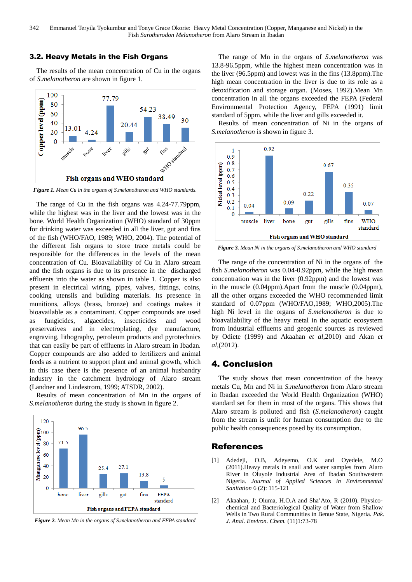#### 3.2. Heavy Metals in the Fish Organs

The results of the mean concentration of Cu in the organs of *S.melanotheron* are shown in figure 1.



*Figure 1. Mean Cu in the organs of S.melanotheron and WHO standards.* 

The range of Cu in the fish organs was 4.24-77.79ppm, while the highest was in the liver and the lowest was in the bone. World Health Organization (WHO) standard of 30ppm for drinking water was exceeded in all the liver, gut and fins of the fish (WHO/FAO, 1989; WHO, 2004). The potential of the different fish organs to store trace metals could be responsible for the differences in the levels of the mean concentration of Cu. Bioavailability of Cu in Alaro stream and the fish organs is due to its presence in the discharged effluents into the water as shown in table 1. Copper is also present in electrical wiring, pipes, valves, fittings, coins, cooking utensils and building materials. Its presence in munitions, alloys (brass, bronze) and coatings makes it bioavailable as a contaminant. Copper compounds are used as fungicides, algaecides, insecticides and wood preservatives and in electroplating, dye manufacture, engraving, lithography, petroleum products and pyrotechnics that can easily be part of effluents in Alaro stream in Ibadan. Copper compounds are also added to fertilizers and animal feeds as a nutrient to support plant and animal growth, which in this case there is the presence of an animal husbandry industry in the catchment hydrology of Alaro stream (Landner and Lindestrom, 1999; ATSDR, 2002).

Results of mean concentration of Mn in the organs of *S.melanotheron* during the study is shown in figure 2.



*Figure 2. Mean Mn in the organs of S.melanotheron and FEPA standard* 

The range of Mn in the organs of *S.melanotheron* was 13.8-96.5ppm, while the highest mean concentration was in the liver (96.5ppm) and lowest was in the fins (13.8ppm).The high mean concentration in the liver is due to its role as a detoxification and storage organ. (Moses, 1992).Mean Mn concentration in all the organs exceeded the FEPA (Federal Environmental Protection Agency, FEPA (1991) limit standard of 5ppm. while the liver and gills exceeded it.

Results of mean concentration of Ni in the organs of *S.melanotheron* is shown in figure 3.



*Figure 3. Mean Ni in the organs of S.melanotheron and WHO standard* 

The range of the concentration of Ni in the organs of the fish *S.melanotheron* was 0.04-0.92ppm, while the high mean concentration was in the liver (0.92ppm) and the lowest was in the muscle (0.04ppm).Apart from the muscle (0.04ppm), all the other organs exceeded the WHO recommended limit standard of 0.07ppm (WHO/FAO,1989; WHO,2005).The high Ni level in the organs of *S.melanotheron* is due to bioavailability of the heavy metal in the aquatic ecosystem from industrial effluents and geogenic sources as reviewed by Odiete (1999) and Akaahan *et al*,2010) and Akan *et al*,(2012).

#### 4. Conclusion

The study shows that mean concentration of the heavy metals Cu, Mn and Ni in *S.melanotheron* from Alaro stream in Ibadan exceeded the World Health Organization (WHO) standard set for them in most of the organs. This shows that Alaro stream is polluted and fish (*S.melanotheron*) caught from the stream is unfit for human consumption due to the public health consequences posed by its consumption.

#### References

- [1] Adedeji, O.B, Adeyemo, O.K and Oyedele, M.O (2011).Heavy metals in snail and water samples from Alaro River in Oluyole Industrial Area of Ibadan Southwestern Nigeria*. Journal of Applied Sciences in Environmental Sanitation* 6 (2): 115-121
- [2] Akaahan, J; Oluma, H.O.A and Sha'Ato, R (2010). Physicochemical and Bacteriological Quality of Water from Shallow Wells in Two Rural Communities in Benue State, Nigeria. *Pak. J. Anal. Environ. Chem.* (11)1:73-78